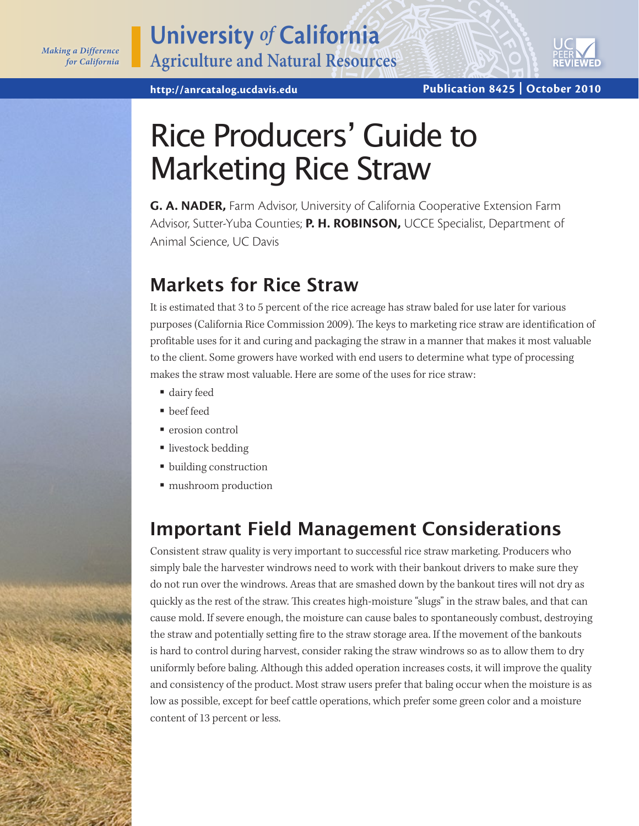

# Rice Producers' Guide to Marketing Rice Straw

**G. A. NADER,** Farm Advisor, University of California Cooperative Extension Farm Advisor, Sutter-Yuba Counties; **P. H. ROBINSON,** UCCE Specialist, Department of Animal Science, UC Davis

# **Markets for Rice Straw**

It is estimated that 3 to 5 percent of the rice acreage has straw baled for use later for various purposes (California Rice Commission 2009). The keys to marketing rice straw are identification of profitable uses for it and curing and packaging the straw in a manner that makes it most valuable to the client. Some growers have worked with end users to determine what type of processing makes the straw most valuable. Here are some of the uses for rice straw:

- dairy feed
- **beef** feed
- erosion control
- livestock bedding
- building construction
- $\blacksquare$  mushroom production

# **Important Field Management Considerations**

Consistent straw quality is very important to successful rice straw marketing. Producers who simply bale the harvester windrows need to work with their bankout drivers to make sure they do not run over the windrows. Areas that are smashed down by the bankout tires will not dry as quickly as the rest of the straw. This creates high-moisture "slugs" in the straw bales, and that can cause mold. If severe enough, the moisture can cause bales to spontaneously combust, destroying the straw and potentially setting fire to the straw storage area. If the movement of the bankouts is hard to control during harvest, consider raking the straw windrows so as to allow them to dry uniformly before baling. Although this added operation increases costs, it will improve the quality and consistency of the product. Most straw users prefer that baling occur when the moisture is as low as possible, except for beef cattle operations, which prefer some green color and a moisture content of 13 percent or less.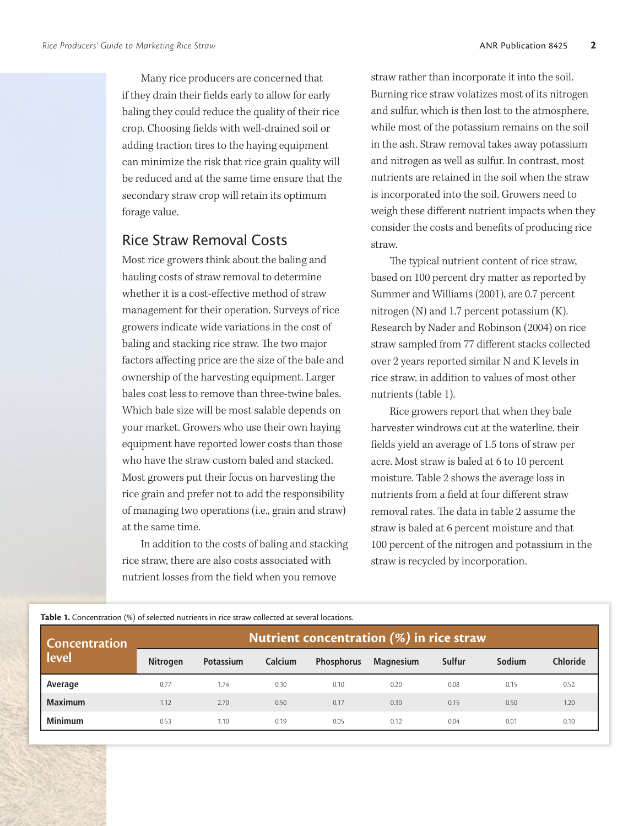Many rice producers are concerned that if they drain their fields early to allow for early baling they could reduce the quality of their rice crop. Choosing fields with well-drained soil or adding traction tires to the haying equipment can minimize the risk that rice grain quality will be reduced and at the same time ensure that the secondary straw crop will retain its optimum forage value.

#### Rice Straw Removal Costs

Most rice growers think about the baling and hauling costs of straw removal to determine whether it is a cost-effective method of straw management for their operation. Surveys of rice growers indicate wide variations in the cost of baling and stacking rice straw. The two major factors affecting price are the size of the bale and ownership of the harvesting equipment. Larger bales cost less to remove than three-twine bales. Which bale size will be most salable depends on your market. Growers who use their own haying equipment have reported lower costs than those who have the straw custom baled and stacked. Most growers put their focus on harvesting the rice grain and prefer not to add the responsibility of managing two operations (i.e., grain and straw) at the same time.

In addition to the costs of baling and stacking rice straw, there are also costs associated with nutrient losses from the field when you remove

straw rather than incorporate it into the soil. Burning rice straw volatizes most of its nitrogen and sulfur, which is then lost to the atmosphere, while most of the potassium remains on the soil in the ash. Straw removal takes away potassium and nitrogen as well as sulfur. In contrast, most nutrients are retained in the soil when the straw is incorporated into the soil. Growers need to weigh these different nutrient impacts when they consider the costs and benefits of producing rice straw.

The typical nutrient content of rice straw, based on 100 percent dry matter as reported by Summer and Williams (2001), are 0.7 percent nitrogen (N) and 1.7 percent potassium (K). Research by Nader and Robinson (2004) on rice straw sampled from 77 different stacks collected over 2 years reported similar N and K levels in rice straw, in addition to values of most other nutrients (table 1).

Rice growers report that when they bale harvester windrows cut at the waterline, their fields yield an average of 1.5 tons of straw per acre. Most straw is baled at 6 to 10 percent moisture. Table 2 shows the average loss in nutrients from a field at four different straw removal rates. The data in table 2 assume the straw is baled at 6 percent moisture and that 100 percent of the nitrogen and potassium in the straw is recycled by incorporation.

| <b>Concentration</b><br>level | Nutrient concentration $(\%)$ in rice straw |           |         |                   |                  |        |        |                 |  |
|-------------------------------|---------------------------------------------|-----------|---------|-------------------|------------------|--------|--------|-----------------|--|
|                               | <b>Nitrogen</b>                             | Potassium | Calcium | <b>Phosphorus</b> | <b>Magnesium</b> | Sulfur | Sodium | <b>Chloride</b> |  |
| Average                       | 0.77                                        | 1.74      | 0.30    | 0.10              | 0.20             | 0.08   | 0.15   | 0.52            |  |
| <b>Maximum</b>                | 1.12                                        | 2.70      | 0.50    | 0.17              | 0.30             | 0.15   | 0.50   | 1.20            |  |
| <b>Minimum</b>                | 0.53                                        | 1.10      | 0.19    | 0.05              | 0.12             | 0.04   | 0.01   | 0.10            |  |

#### **Table 1.** Concentration (%) of selected nutrients in rice straw collected at several locations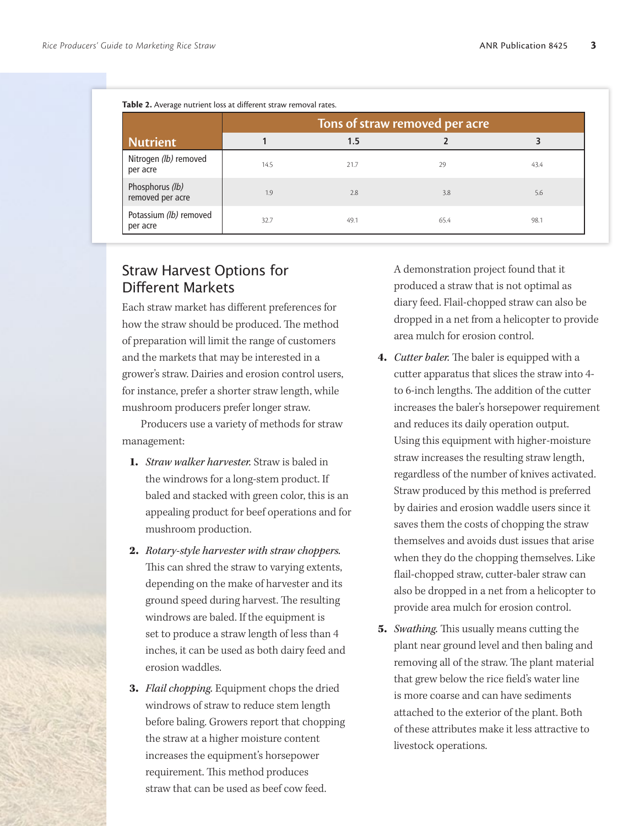| <b>Nutrient</b>                     | Tons of straw removed per acre |      |      |      |  |  |  |
|-------------------------------------|--------------------------------|------|------|------|--|--|--|
|                                     |                                | 1.5  |      |      |  |  |  |
| Nitrogen (lb) removed<br>per acre   | 14.5                           | 21.7 | 29   | 43.4 |  |  |  |
| Phosphorus (lb)<br>removed per acre | 1.9                            | 2.8  | 3.8  | 5.6  |  |  |  |
| Potassium (lb) removed<br>per acre  | 32.7                           | 49.1 | 65.4 | 98.1 |  |  |  |

## Straw Harvest Options for Different Markets

Each straw market has different preferences for how the straw should be produced. The method of preparation will limit the range of customers and the markets that may be interested in a grower's straw. Dairies and erosion control users, for instance, prefer a shorter straw length, while mushroom producers prefer longer straw.

Producers use a variety of methods for straw management:

- 1. *Straw walker harvester.* Straw is baled in the windrows for a long-stem product. If baled and stacked with green color, this is an appealing product for beef operations and for mushroom production.
- 2. *Rotary-style harvester with straw choppers.* This can shred the straw to varying extents, depending on the make of harvester and its ground speed during harvest. The resulting windrows are baled. If the equipment is set to produce a straw length of less than 4 inches, it can be used as both dairy feed and erosion waddles.
- 3. *Flail chopping.* Equipment chops the dried windrows of straw to reduce stem length before baling. Growers report that chopping the straw at a higher moisture content increases the equipment's horsepower requirement. This method produces straw that can be used as beef cow feed.

A demonstration project found that it produced a straw that is not optimal as diary feed. Flail-chopped straw can also be dropped in a net from a helicopter to provide area mulch for erosion control.

- 4. *Cutter baler.* The baler is equipped with a cutter apparatus that slices the straw into 4 to 6-inch lengths. The addition of the cutter increases the baler's horsepower requirement and reduces its daily operation output. Using this equipment with higher-moisture straw increases the resulting straw length, regardless of the number of knives activated. Straw produced by this method is preferred by dairies and erosion waddle users since it saves them the costs of chopping the straw themselves and avoids dust issues that arise when they do the chopping themselves. Like flail-chopped straw, cutter-baler straw can also be dropped in a net from a helicopter to provide area mulch for erosion control.
- 5. *Swathing.* This usually means cutting the plant near ground level and then baling and removing all of the straw. The plant material that grew below the rice field's water line is more coarse and can have sediments attached to the exterior of the plant. Both of these attributes make it less attractive to livestock operations.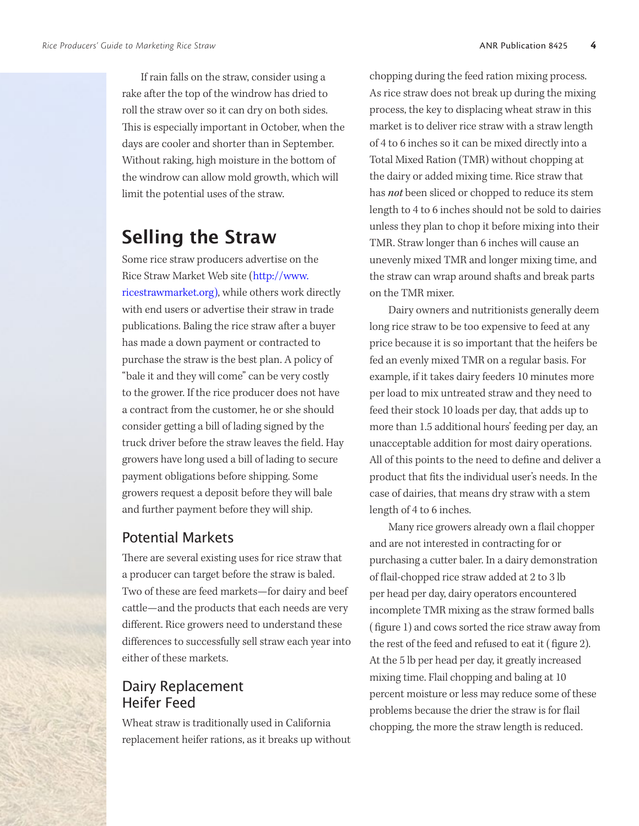If rain falls on the straw, consider using a rake after the top of the windrow has dried to roll the straw over so it can dry on both sides. This is especially important in October, when the days are cooler and shorter than in September. Without raking, high moisture in the bottom of the windrow can allow mold growth, which will limit the potential uses of the straw.

## **Selling the Straw**

Some rice straw producers advertise on the Rice Straw Market Web site ([http://www.](http://www.ricestrawmarket.org) [ricestrawmarket.org](http://www.ricestrawmarket.org)), while others work directly with end users or advertise their straw in trade publications. Baling the rice straw after a buyer has made a down payment or contracted to purchase the straw is the best plan. A policy of "bale it and they will come" can be very costly to the grower. If the rice producer does not have a contract from the customer, he or she should consider getting a bill of lading signed by the truck driver before the straw leaves the field. Hay growers have long used a bill of lading to secure payment obligations before shipping. Some growers request a deposit before they will bale and further payment before they will ship.

#### Potential Markets

There are several existing uses for rice straw that a producer can target before the straw is baled. Two of these are feed markets—for dairy and beef cattle—and the products that each needs are very different. Rice growers need to understand these differences to successfully sell straw each year into either of these markets.

#### Dairy Replacement Heifer Feed

Wheat straw is traditionally used in California replacement heifer rations, as it breaks up without

chopping during the feed ration mixing process. As rice straw does not break up during the mixing process, the key to displacing wheat straw in this market is to deliver rice straw with a straw length of 4 to 6 inches so it can be mixed directly into a Total Mixed Ration (TMR) without chopping at the dairy or added mixing time. Rice straw that has *not* been sliced or chopped to reduce its stem length to 4 to 6 inches should not be sold to dairies unless they plan to chop it before mixing into their TMR. Straw longer than 6 inches will cause an unevenly mixed TMR and longer mixing time, and the straw can wrap around shafts and break parts on the TMR mixer.

Dairy owners and nutritionists generally deem long rice straw to be too expensive to feed at any price because it is so important that the heifers be fed an evenly mixed TMR on a regular basis. For example, if it takes dairy feeders 10 minutes more per load to mix untreated straw and they need to feed their stock 10 loads per day, that adds up to more than 1.5 additional hours' feeding per day, an unacceptable addition for most dairy operations. All of this points to the need to define and deliver a product that fits the individual user's needs. In the case of dairies, that means dry straw with a stem length of 4 to 6 inches.

Many rice growers already own a flail chopper and are not interested in contracting for or purchasing a cutter baler. In a dairy demonstration of flail-chopped rice straw added at 2 to 3 lb per head per day, dairy operators encountered incomplete TMR mixing as the straw formed balls ( figure 1) and cows sorted the rice straw away from the rest of the feed and refused to eat it ( figure 2). At the 5 lb per head per day, it greatly increased mixing time. Flail chopping and baling at 10 percent moisture or less may reduce some of these problems because the drier the straw is for flail chopping, the more the straw length is reduced.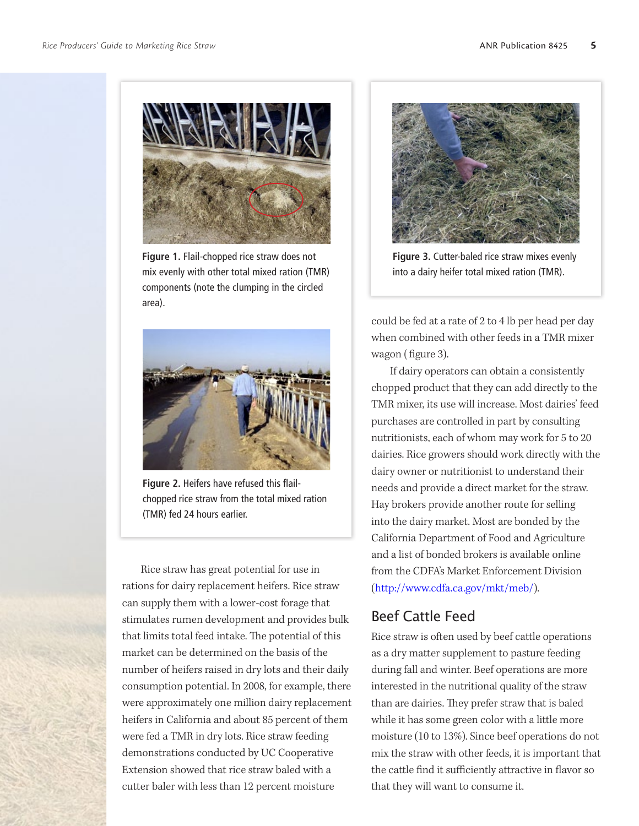

**Figure 1.** Flail-chopped rice straw does not mix evenly with other total mixed ration (TMR) components (note the clumping in the circled area).



**Figure 2.** Heifers have refused this flailchopped rice straw from the total mixed ration (TMR) fed 24 hours earlier.

Rice straw has great potential for use in rations for dairy replacement heifers. Rice straw can supply them with a lower-cost forage that stimulates rumen development and provides bulk that limits total feed intake. The potential of this market can be determined on the basis of the number of heifers raised in dry lots and their daily consumption potential. In 2008, for example, there were approximately one million dairy replacement heifers in California and about 85 percent of them were fed a TMR in dry lots. Rice straw feeding demonstrations conducted by UC Cooperative Extension showed that rice straw baled with a cutter baler with less than 12 percent moisture



**Figure 3.** Cutter-baled rice straw mixes evenly into a dairy heifer total mixed ration (TMR).

could be fed at a rate of 2 to 4 lb per head per day when combined with other feeds in a TMR mixer wagon ( figure 3).

If dairy operators can obtain a consistently chopped product that they can add directly to the TMR mixer, its use will increase. Most dairies' feed purchases are controlled in part by consulting nutritionists, each of whom may work for 5 to 20 dairies. Rice growers should work directly with the dairy owner or nutritionist to understand their needs and provide a direct market for the straw. Hay brokers provide another route for selling into the dairy market. Most are bonded by the California Department of Food and Agriculture and a list of bonded brokers is available online from the CDFA's Market Enforcement Division ([http://www.cdfa.ca.gov/mkt/meb/\)](http://www.cdfa.ca.gov/mkt/meb/).

#### Beef Cattle Feed

Rice straw is often used by beef cattle operations as a dry matter supplement to pasture feeding during fall and winter. Beef operations are more interested in the nutritional quality of the straw than are dairies. They prefer straw that is baled while it has some green color with a little more moisture (10 to 13%). Since beef operations do not mix the straw with other feeds, it is important that the cattle find it sufficiently attractive in flavor so that they will want to consume it.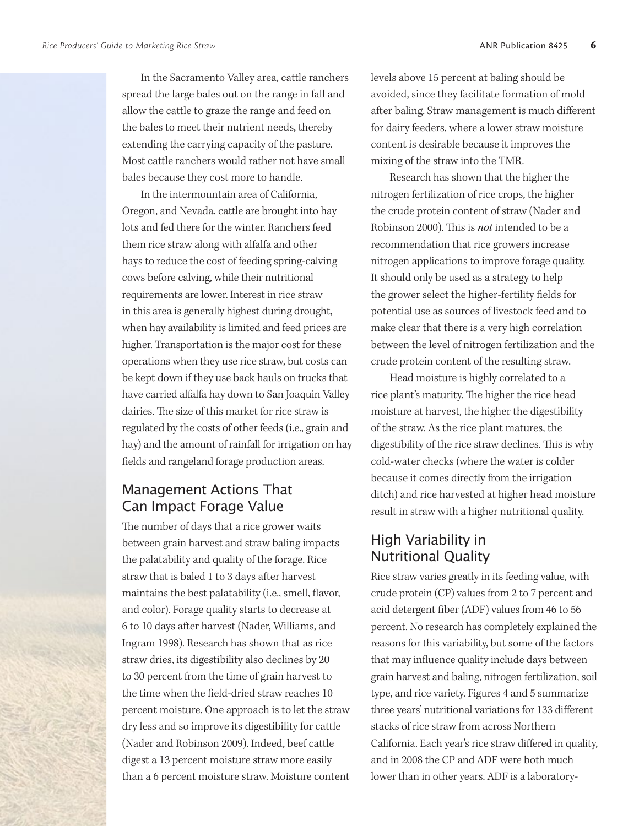In the Sacramento Valley area, cattle ranchers spread the large bales out on the range in fall and allow the cattle to graze the range and feed on the bales to meet their nutrient needs, thereby extending the carrying capacity of the pasture. Most cattle ranchers would rather not have small bales because they cost more to handle.

In the intermountain area of California, Oregon, and Nevada, cattle are brought into hay lots and fed there for the winter. Ranchers feed them rice straw along with alfalfa and other hays to reduce the cost of feeding spring-calving cows before calving, while their nutritional requirements are lower. Interest in rice straw in this area is generally highest during drought, when hay availability is limited and feed prices are higher. Transportation is the major cost for these operations when they use rice straw, but costs can be kept down if they use back hauls on trucks that have carried alfalfa hay down to San Joaquin Valley dairies. The size of this market for rice straw is regulated by the costs of other feeds (i.e., grain and hay) and the amount of rainfall for irrigation on hay fields and rangeland forage production areas.

## Management Actions That Can Impact Forage Value

The number of days that a rice grower waits between grain harvest and straw baling impacts the palatability and quality of the forage. Rice straw that is baled 1 to 3 days after harvest maintains the best palatability (i.e., smell, flavor, and color). Forage quality starts to decrease at 6 to 10 days after harvest (Nader, Williams, and Ingram 1998). Research has shown that as rice straw dries, its digestibility also declines by 20 to 30 percent from the time of grain harvest to the time when the field-dried straw reaches 10 percent moisture. One approach is to let the straw dry less and so improve its digestibility for cattle (Nader and Robinson 2009). Indeed, beef cattle digest a 13 percent moisture straw more easily than a 6 percent moisture straw. Moisture content levels above 15 percent at baling should be avoided, since they facilitate formation of mold after baling. Straw management is much different for dairy feeders, where a lower straw moisture content is desirable because it improves the mixing of the straw into the TMR.

Research has shown that the higher the nitrogen fertilization of rice crops, the higher the crude protein content of straw (Nader and Robinson 2000). This is *not* intended to be a recommendation that rice growers increase nitrogen applications to improve forage quality. It should only be used as a strategy to help the grower select the higher-fertility fields for potential use as sources of livestock feed and to make clear that there is a very high correlation between the level of nitrogen fertilization and the crude protein content of the resulting straw.

Head moisture is highly correlated to a rice plant's maturity. The higher the rice head moisture at harvest, the higher the digestibility of the straw. As the rice plant matures, the digestibility of the rice straw declines. This is why cold-water checks (where the water is colder because it comes directly from the irrigation ditch) and rice harvested at higher head moisture result in straw with a higher nutritional quality.

#### High Variability in Nutritional Quality

Rice straw varies greatly in its feeding value, with crude protein (CP) values from 2 to 7 percent and acid detergent fiber (ADF) values from 46 to 56 percent. No research has completely explained the reasons for this variability, but some of the factors that may influence quality include days between grain harvest and baling, nitrogen fertilization, soil type, and rice variety. Figures 4 and 5 summarize three years' nutritional variations for 133 different stacks of rice straw from across Northern California. Each year's rice straw differed in quality, and in 2008 the CP and ADF were both much lower than in other years. ADF is a laboratory-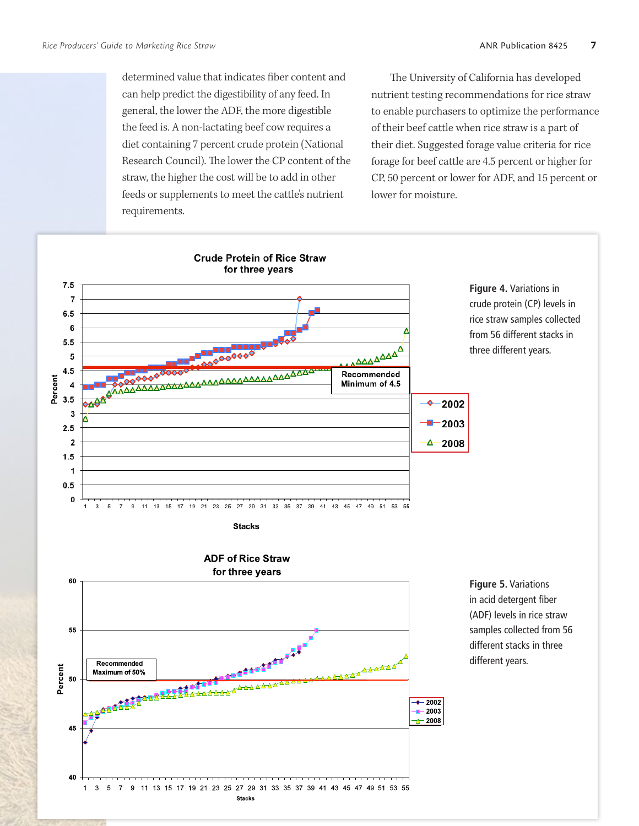determined value that indicates fiber content and can help predict the digestibility of any feed. In general, the lower the ADF, the more digestible the feed is. A non-lactating beef cow requires a diet containing 7 percent crude protein (National Research Council). The lower the CP content of the straw, the higher the cost will be to add in other feeds or supplements to meet the cattle's nutrient requirements.

The University of California has developed nutrient testing recommendations for rice straw to enable purchasers to optimize the performance of their beef cattle when rice straw is a part of their diet. Suggested forage value criteria for rice forage for beef cattle are 4.5 percent or higher for CP, 50 percent or lower for ADF, and 15 percent or lower for moisture.

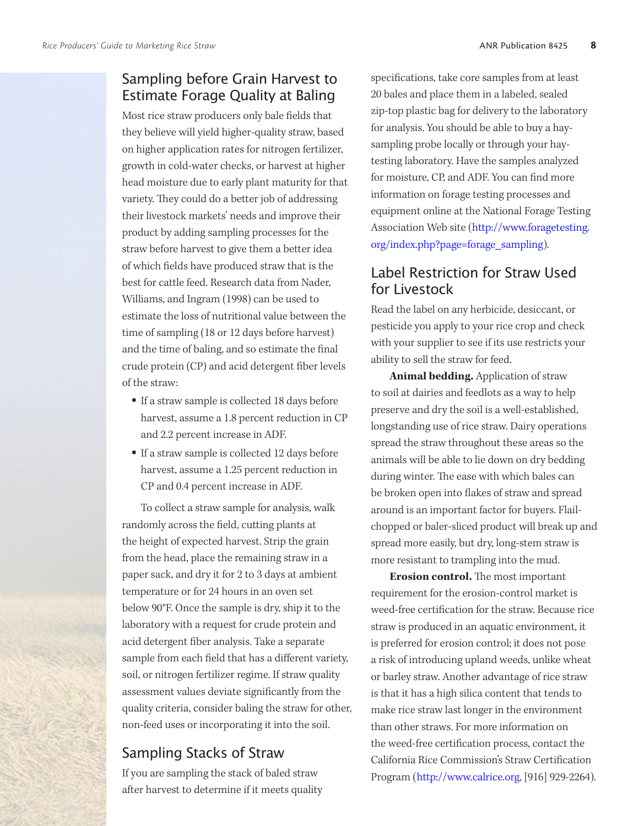## Sampling before Grain Harvest to Estimate Forage Quality at Baling

Most rice straw producers only bale fields that they believe will yield higher-quality straw, based on higher application rates for nitrogen fertilizer, growth in cold-water checks, or harvest at higher head moisture due to early plant maturity for that variety. They could do a better job of addressing their livestock markets' needs and improve their product by adding sampling processes for the straw before harvest to give them a better idea of which fields have produced straw that is the best for cattle feed. Research data from Nader, Williams, and Ingram (1998) can be used to estimate the loss of nutritional value between the time of sampling (18 or 12 days before harvest) and the time of baling, and so estimate the final crude protein (CP) and acid detergent fiber levels of the straw:

- If a straw sample is collected 18 days before harvest, assume a 1.8 percent reduction in CP and 2.2 percent increase in ADF.
- If a straw sample is collected 12 days before harvest, assume a 1.25 percent reduction in CP and 0.4 percent increase in ADF.

To collect a straw sample for analysis, walk randomly across the field, cutting plants at the height of expected harvest. Strip the grain from the head, place the remaining straw in a paper sack, and dry it for 2 to 3 days at ambient temperature or for 24 hours in an oven set below 90°F. Once the sample is dry, ship it to the laboratory with a request for crude protein and acid detergent fiber analysis. Take a separate sample from each field that has a different variety, soil, or nitrogen fertilizer regime. If straw quality assessment values deviate significantly from the quality criteria, consider baling the straw for other, non-feed uses or incorporating it into the soil.

#### Sampling Stacks of Straw

If you are sampling the stack of baled straw after harvest to determine if it meets quality specifications, take core samples from at least 20 bales and place them in a labeled, sealed zip-top plastic bag for delivery to the laboratory for analysis. You should be able to buy a haysampling probe locally or through your haytesting laboratory. Have the samples analyzed for moisture, CP, and ADF. You can find more information on forage testing processes and equipment online at the National Forage Testing Association Web site ([http://www.foragetesting.](http://www.foragetesting.org/index.php?page=forage_sampling) [org/index.php?page=forage\\_sampling\)](http://www.foragetesting.org/index.php?page=forage_sampling).

#### Label Restriction for Straw Used for Livestock

Read the label on any herbicide, desiccant, or pesticide you apply to your rice crop and check with your supplier to see if its use restricts your ability to sell the straw for feed.

**Animal bedding.** Application of straw to soil at dairies and feedlots as a way to help preserve and dry the soil is a well-established, longstanding use of rice straw. Dairy operations spread the straw throughout these areas so the animals will be able to lie down on dry bedding during winter. The ease with which bales can be broken open into flakes of straw and spread around is an important factor for buyers. Flailchopped or baler-sliced product will break up and spread more easily, but dry, long-stem straw is more resistant to trampling into the mud.

**Erosion control.** The most important requirement for the erosion-control market is weed-free certification for the straw. Because rice straw is produced in an aquatic environment, it is preferred for erosion control; it does not pose a risk of introducing upland weeds, unlike wheat or barley straw. Another advantage of rice straw is that it has a high silica content that tends to make rice straw last longer in the environment than other straws. For more information on the weed-free certification process, contact the California Rice Commission's Straw Certification Program ([http://www.calrice.org,](http://www.calrice.org) [916] 929-2264).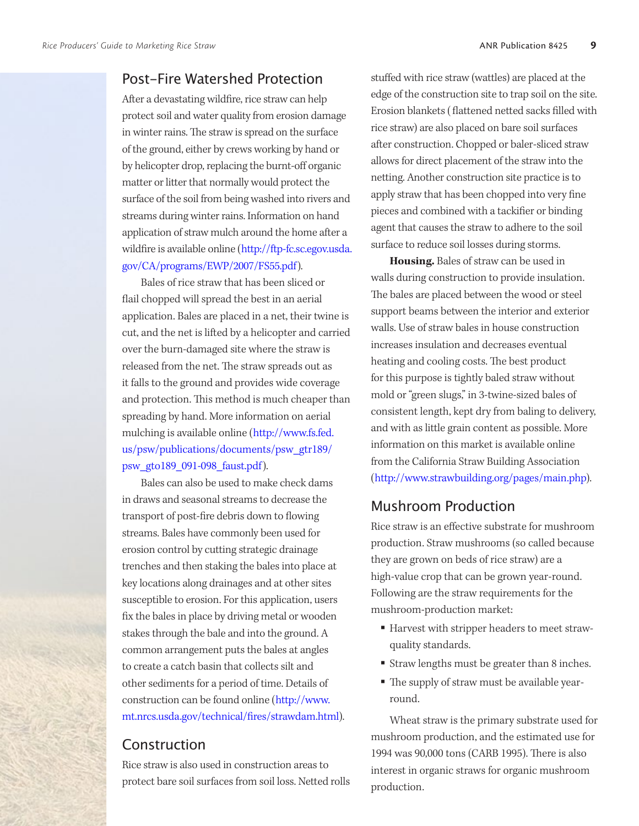#### Post-Fire Watershed Protection

After a devastating wildfire, rice straw can help protect soil and water quality from erosion damage in winter rains. The straw is spread on the surface of the ground, either by crews working by hand or by helicopter drop, replacing the burnt-off organic matter or litter that normally would protect the surface of the soil from being washed into rivers and streams during winter rains. Information on hand application of straw mulch around the home after a wildfire is available online [\(http://ftp-fc.sc.egov.usda.](http://ftp-fc.sc.egov.usda.gov/CA/programs/EWP/2007/FS55.pdf) [gov/CA/programs/EWP/2007/FS55.pdf\)](http://ftp-fc.sc.egov.usda.gov/CA/programs/EWP/2007/FS55.pdf).

Bales of rice straw that has been sliced or flail chopped will spread the best in an aerial application. Bales are placed in a net, their twine is cut, and the net is lifted by a helicopter and carried over the burn-damaged site where the straw is released from the net. The straw spreads out as it falls to the ground and provides wide coverage and protection. This method is much cheaper than spreading by hand. More information on aerial mulching is available online ([http://www.fs.fed.](http://www.fs.fed.us/psw/publications/documents/psw_gtr189/psw_gto189_091-098_faust.pdf) [us/psw/publications/documents/psw\\_gtr189/](http://www.fs.fed.us/psw/publications/documents/psw_gtr189/psw_gto189_091-098_faust.pdf) [psw\\_gto189\\_091-098\\_faust.pdf\)](http://www.fs.fed.us/psw/publications/documents/psw_gtr189/psw_gto189_091-098_faust.pdf).

Bales can also be used to make check dams in draws and seasonal streams to decrease the transport of post-fire debris down to flowing streams. Bales have commonly been used for erosion control by cutting strategic drainage trenches and then staking the bales into place at key locations along drainages and at other sites susceptible to erosion. For this application, users fix the bales in place by driving metal or wooden stakes through the bale and into the ground. A common arrangement puts the bales at angles to create a catch basin that collects silt and other sediments for a period of time. Details of construction can be found online ([http://www.](http://www.mt.nrcs.usda.gov/technical/fires/strawdam.html) [mt.nrcs.usda.gov/technical/fires/strawdam.html\)](http://www.mt.nrcs.usda.gov/technical/fires/strawdam.html).

#### **Construction**

Rice straw is also used in construction areas to protect bare soil surfaces from soil loss. Netted rolls stuffed with rice straw (wattles) are placed at the edge of the construction site to trap soil on the site. Erosion blankets ( flattened netted sacks filled with rice straw) are also placed on bare soil surfaces after construction. Chopped or baler-sliced straw allows for direct placement of the straw into the netting. Another construction site practice is to apply straw that has been chopped into very fine pieces and combined with a tackifier or binding agent that causes the straw to adhere to the soil surface to reduce soil losses during storms.

**Housing.** Bales of straw can be used in walls during construction to provide insulation. The bales are placed between the wood or steel support beams between the interior and exterior walls. Use of straw bales in house construction increases insulation and decreases eventual heating and cooling costs. The best product for this purpose is tightly baled straw without mold or "green slugs," in 3-twine-sized bales of consistent length, kept dry from baling to delivery, and with as little grain content as possible. More information on this market is available online from the California Straw Building Association ([http://www.strawbuilding.org/pages/main.php\)](http://www.strawbuilding.org/pages/main.php).

#### Mushroom Production

Rice straw is an effective substrate for mushroom production. Straw mushrooms (so called because they are grown on beds of rice straw) are a high-value crop that can be grown year-round. Following are the straw requirements for the mushroom-production market:

- Harvest with stripper headers to meet strawquality standards.
- Straw lengths must be greater than 8 inches.
- The supply of straw must be available yearround.

Wheat straw is the primary substrate used for mushroom production, and the estimated use for 1994 was 90,000 tons (CARB 1995). There is also interest in organic straws for organic mushroom production.